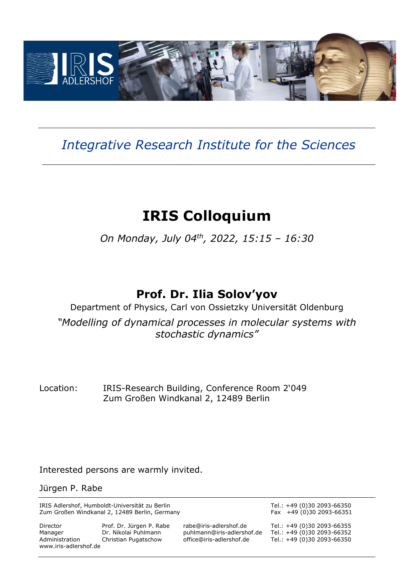

## *Integrative Research Institute for the Sciences*

# **IRIS Colloquium**

*On Monday, July 04th , 2022, 15:15 – 16:30* 

### **Prof. Dr. Ilia Solov'yov**

Department of Physics, Carl von Ossietzky Universität Oldenburg *"Modelling of dynamical processes in molecular systems with stochastic dynamics"* 

Location: IRIS-Research Building, Conference Room 2'049 Zum Großen Windkanal 2, 12489 Berlin

Interested persons are warmly invited.

Jürgen P. Rabe

IRIS Adlershof, Humboldt-Universität zu Berlin australien aus and Tel.: +49 (0)30 2093-66350<br>Zum Großen Windkanal 2, 12489 Berlin, Germany and Tel.: +49 (0)30 2093-66351 Zum Großen Windkanal 2, 12489 Berlin, Germany

Director Prof. Dr. Jürgen P. Rabe rabe@iris-adlershof.de Tel.: +49 (0)30 2093-66355 Manager Dr. Nikolai Puhlmann puhlmann@iris-adlershof.de Tel.: +49 (0)30 2093-66352 www.iris-adlershof.de

Tel.: +49 (0)30 2093-66350